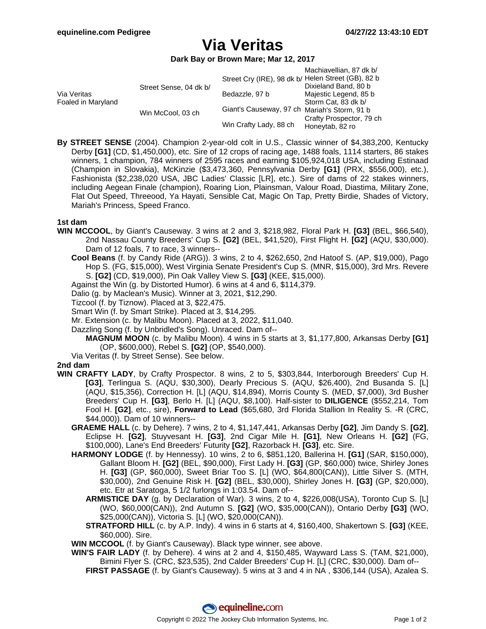# **Via Veritas**

**Dark Bay or Brown Mare; Mar 12, 2017**

|                                   |                        |                                                    | Machiavellian, 87 dk b/  |
|-----------------------------------|------------------------|----------------------------------------------------|--------------------------|
| Via Veritas<br>Foaled in Maryland | Street Sense, 04 dk b/ | Street Cry (IRE), 98 dk b/ Helen Street (GB), 82 b |                          |
|                                   |                        |                                                    | Dixieland Band, 80 b     |
|                                   |                        | Bedazzle, 97 b                                     | Majestic Legend, 85 b    |
|                                   |                        |                                                    | Storm Cat, 83 dk b/      |
|                                   | Win McCool, 03 ch      | Giant's Causeway, 97 ch Mariah's Storm, 91 b       |                          |
|                                   |                        |                                                    | Crafty Prospector, 79 ch |
|                                   |                        | Win Crafty Lady, 88 ch                             | Honeytab, 82 ro          |

**By STREET SENSE** (2004). Champion 2-year-old colt in U.S., Classic winner of \$4,383,200, Kentucky Derby **[G1]** (CD, \$1,450,000), etc. Sire of 12 crops of racing age, 1488 foals, 1114 starters, 86 stakes winners, 1 champion, 784 winners of 2595 races and earning \$105,924,018 USA, including Estinaad (Champion in Slovakia), McKinzie (\$3,473,360, Pennsylvania Derby **[G1]** (PRX, \$556,000), etc.), Fashionista (\$2,238,020 USA, JBC Ladies' Classic [LR], etc.). Sire of dams of 22 stakes winners, including Aegean Finale (champion), Roaring Lion, Plainsman, Valour Road, Diastima, Military Zone, Flat Out Speed, Threeood, Ya Hayati, Sensible Cat, Magic On Tap, Pretty Birdie, Shades of Victory, Mariah's Princess, Speed Franco.

### **1st dam**

- **WIN MCCOOL**, by Giant's Causeway. 3 wins at 2 and 3, \$218,982, Floral Park H. **[G3]** (BEL, \$66,540), 2nd Nassau County Breeders' Cup S. **[G2]** (BEL, \$41,520), First Flight H. **[G2]** (AQU, \$30,000). Dam of 12 foals, 7 to race, 3 winners--
	- **Cool Beans** (f. by Candy Ride (ARG)). 3 wins, 2 to 4, \$262,650, 2nd Hatoof S. (AP, \$19,000), Pago Hop S. (FG, \$15,000), West Virginia Senate President's Cup S. (MNR, \$15,000), 3rd Mrs. Revere S. **[G2]** (CD, \$19,000), Pin Oak Valley View S. **[G3]** (KEE, \$15,000).
	- Against the Win (g. by Distorted Humor). 6 wins at 4 and 6, \$114,379.
	- Dalio (g. by Maclean's Music). Winner at 3, 2021, \$12,290.
	- Tizcool (f. by Tiznow). Placed at 3, \$22,475.
	- Smart Win (f. by Smart Strike). Placed at 3, \$14,295.
	- Mr. Extension (c. by Malibu Moon). Placed at 3, 2022, \$11,040.
	- Dazzling Song (f. by Unbridled's Song). Unraced. Dam of--
		- **MAGNUM MOON** (c. by Malibu Moon). 4 wins in 5 starts at 3, \$1,177,800, Arkansas Derby **[G1]** (OP, \$600,000), Rebel S. **[G2]** (OP, \$540,000).
	- Via Veritas (f. by Street Sense). See below.

### **2nd dam**

- **WIN CRAFTY LADY**, by Crafty Prospector. 8 wins, 2 to 5, \$303,844, Interborough Breeders' Cup H. **[G3]**, Terlingua S. (AQU, \$30,300), Dearly Precious S. (AQU, \$26,400), 2nd Busanda S. [L] (AQU, \$15,356), Correction H. [L] (AQU, \$14,894), Morris County S. (MED, \$7,000), 3rd Busher Breeders' Cup H. **[G3]**, Berlo H. [L] (AQU, \$8,100). Half-sister to **DILIGENCE** (\$552,214, Tom Fool H. **[G2]**, etc., sire), **Forward to Lead** (\$65,680, 3rd Florida Stallion In Reality S. -R (CRC, \$44,000)). Dam of 10 winners--
	- **GRAEME HALL** (c. by Dehere). 7 wins, 2 to 4, \$1,147,441, Arkansas Derby **[G2]**, Jim Dandy S. **[G2]**, Eclipse H. **[G2]**, Stuyvesant H. **[G3]**, 2nd Cigar Mile H. **[G1]**, New Orleans H. **[G2]** (FG, \$100,000), Lane's End Breeders' Futurity **[G2]**, Razorback H. **[G3]**, etc. Sire.
	- **HARMONY LODGE** (f. by Hennessy). 10 wins, 2 to 6, \$851,120, Ballerina H. **[G1]** (SAR, \$150,000), Gallant Bloom H. **[G2]** (BEL, \$90,000), First Lady H. **[G3]** (GP, \$60,000) twice, Shirley Jones H. **[G3]** (GP, \$60,000), Sweet Briar Too S. [L] (WO, \$64,800(CAN)), Little Silver S. (MTH, \$30,000), 2nd Genuine Risk H. **[G2]** (BEL, \$30,000), Shirley Jones H. **[G3]** (GP, \$20,000), etc. Etr at Saratoga, 5 1/2 furlongs in 1:03.54. Dam of--
		- **ARMISTICE DAY** (g. by Declaration of War). 3 wins, 2 to 4, \$226,008(USA), Toronto Cup S. [L] (WO, \$60,000(CAN)), 2nd Autumn S. **[G2]** (WO, \$35,000(CAN)), Ontario Derby **[G3]** (WO, \$25,000(CAN)), Victoria S. [L] (WO, \$20,000(CAN)).
		- **STRATFORD HILL** (c. by A.P. Indy). 4 wins in 6 starts at 4, \$160,400, Shakertown S. **[G3]** (KEE, \$60,000). Sire.
	- **WIN MCCOOL** (f. by Giant's Causeway). Black type winner, see above.
	- **WIN'S FAIR LADY** (f. by Dehere). 4 wins at 2 and 4, \$150,485, Wayward Lass S. (TAM, \$21,000), Bimini Flyer S. (CRC, \$23,535), 2nd Calder Breeders' Cup H. [L] (CRC, \$30,000). Dam of--
		- **FIRST PASSAGE** (f. by Giant's Causeway). 5 wins at 3 and 4 in NA , \$306,144 (USA), Azalea S.